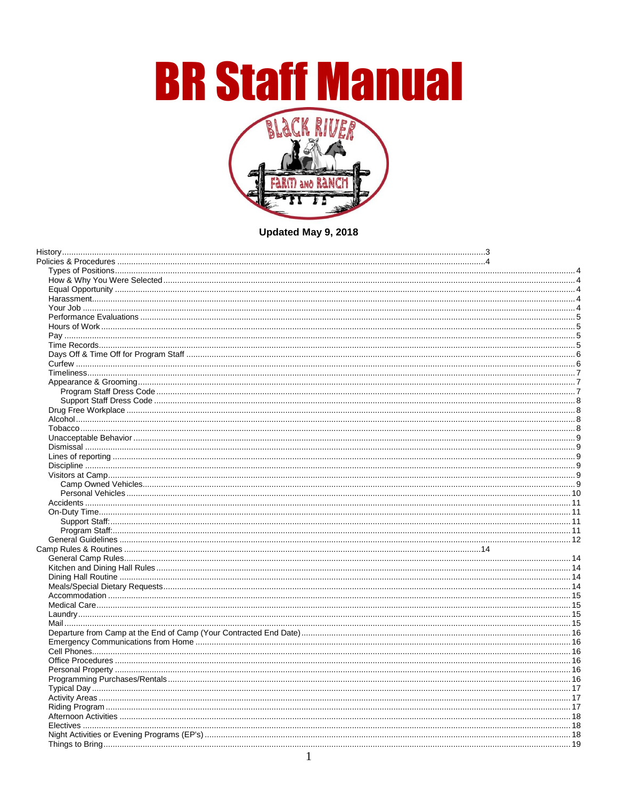**BR Staff Manual** 



Updated May 9, 2018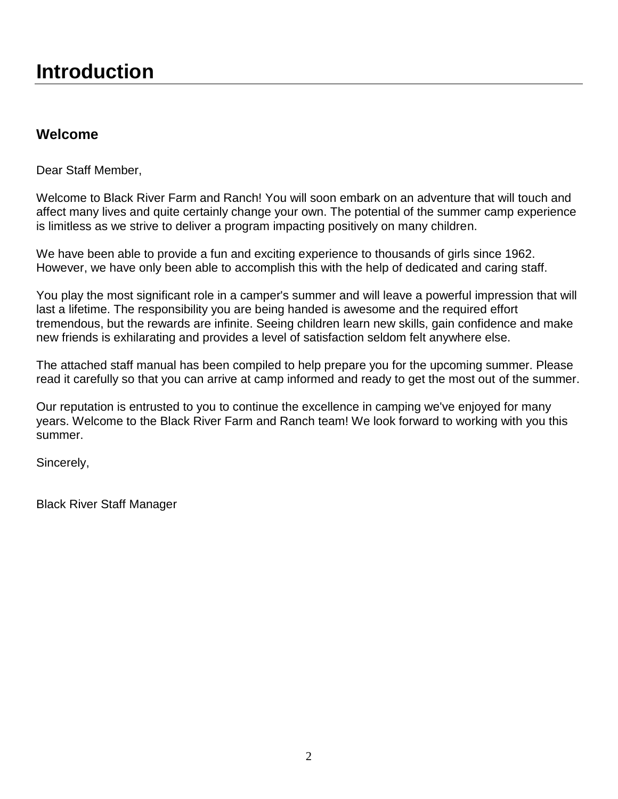## **Welcome**

Dear Staff Member,

Welcome to Black River Farm and Ranch! You will soon embark on an adventure that will touch and affect many lives and quite certainly change your own. The potential of the summer camp experience is limitless as we strive to deliver a program impacting positively on many children.

We have been able to provide a fun and exciting experience to thousands of girls since 1962. However, we have only been able to accomplish this with the help of dedicated and caring staff.

You play the most significant role in a camper's summer and will leave a powerful impression that will last a lifetime. The responsibility you are being handed is awesome and the required effort tremendous, but the rewards are infinite. Seeing children learn new skills, gain confidence and make new friends is exhilarating and provides a level of satisfaction seldom felt anywhere else.

The attached staff manual has been compiled to help prepare you for the upcoming summer. Please read it carefully so that you can arrive at camp informed and ready to get the most out of the summer.

Our reputation is entrusted to you to continue the excellence in camping we've enjoyed for many years. Welcome to the Black River Farm and Ranch team! We look forward to working with you this summer.

Sincerely,

Black River Staff Manager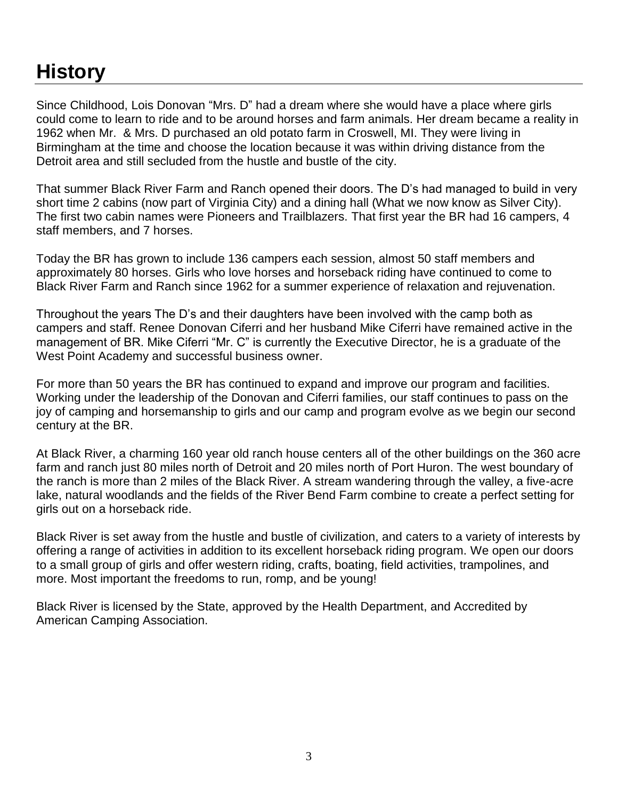# <span id="page-2-0"></span>**History**

Since Childhood, Lois Donovan "Mrs. D" had a dream where she would have a place where girls could come to learn to ride and to be around horses and farm animals. Her dream became a reality in 1962 when Mr. & Mrs. D purchased an old potato farm in Croswell, MI. They were living in Birmingham at the time and choose the location because it was within driving distance from the Detroit area and still secluded from the hustle and bustle of the city.

That summer Black River Farm and Ranch opened their doors. The D's had managed to build in very short time 2 cabins (now part of Virginia City) and a dining hall (What we now know as Silver City). The first two cabin names were Pioneers and Trailblazers. That first year the BR had 16 campers, 4 staff members, and 7 horses.

Today the BR has grown to include 136 campers each session, almost 50 staff members and approximately 80 horses. Girls who love horses and horseback riding have continued to come to Black River Farm and Ranch since 1962 for a summer experience of relaxation and rejuvenation.

Throughout the years The D's and their daughters have been involved with the camp both as campers and staff. Renee Donovan Ciferri and her husband Mike Ciferri have remained active in the management of BR. Mike Ciferri "Mr. C" is currently the Executive Director, he is a graduate of the West Point Academy and successful business owner.

For more than 50 years the BR has continued to expand and improve our program and facilities. Working under the leadership of the Donovan and Ciferri families, our staff continues to pass on the joy of camping and horsemanship to girls and our camp and program evolve as we begin our second century at the BR.

At Black River, a charming 160 year old ranch house centers all of the other buildings on the 360 acre farm and ranch just 80 miles north of Detroit and 20 miles north of Port Huron. The west boundary of the ranch is more than 2 miles of the Black River. A stream wandering through the valley, a five-acre lake, natural woodlands and the fields of the River Bend Farm combine to create a perfect setting for girls out on a horseback ride.

Black River is set away from the hustle and bustle of civilization, and caters to a variety of interests by offering a range of activities in addition to its excellent horseback riding program. We open our doors to a small group of girls and offer western riding, crafts, boating, field activities, trampolines, and more. Most important the freedoms to run, romp, and be young!

Black River is licensed by the State, approved by the Health Department, and Accredited by American Camping Association.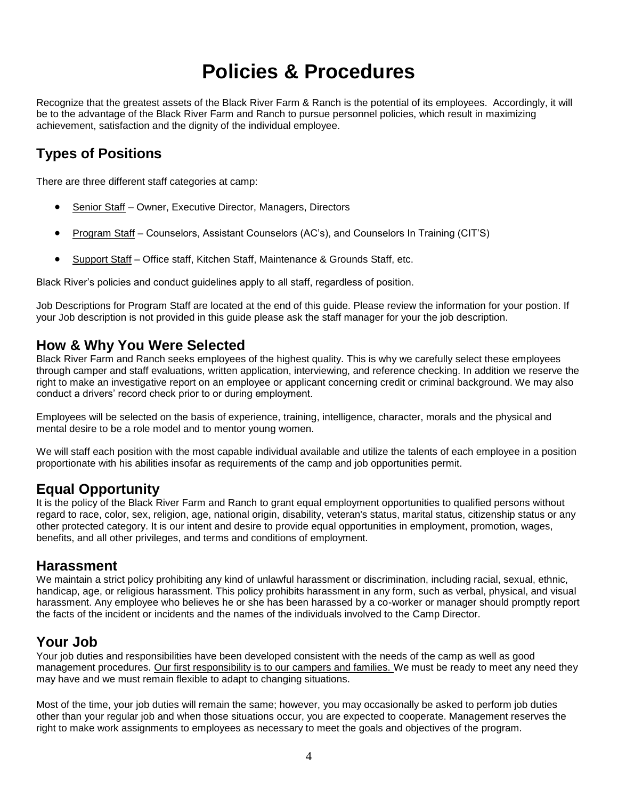# **Policies & Procedures**

<span id="page-3-0"></span>Recognize that the greatest assets of the Black River Farm & Ranch is the potential of its employees. Accordingly, it will be to the advantage of the Black River Farm and Ranch to pursue personnel policies, which result in maximizing achievement, satisfaction and the dignity of the individual employee.

# <span id="page-3-1"></span>**Types of Positions**

There are three different staff categories at camp:

- Senior Staff Owner, Executive Director, Managers, Directors
- Program Staff Counselors, Assistant Counselors (AC's), and Counselors In Training (CIT'S)
- Support Staff Office staff, Kitchen Staff, Maintenance & Grounds Staff, etc.

Black River's policies and conduct guidelines apply to all staff, regardless of position.

Job Descriptions for Program Staff are located at the end of this guide. Please review the information for your postion. If your Job description is not provided in this guide please ask the staff manager for your the job description.

#### <span id="page-3-2"></span>**How & Why You Were Selected**

Black River Farm and Ranch seeks employees of the highest quality. This is why we carefully select these employees through camper and staff evaluations, written application, interviewing, and reference checking. In addition we reserve the right to make an investigative report on an employee or applicant concerning credit or criminal background. We may also conduct a drivers' record check prior to or during employment.

Employees will be selected on the basis of experience, training, intelligence, character, morals and the physical and mental desire to be a role model and to mentor young women.

We will staff each position with the most capable individual available and utilize the talents of each employee in a position proportionate with his abilities insofar as requirements of the camp and job opportunities permit.

#### <span id="page-3-3"></span>**Equal Opportunity**

It is the policy of the Black River Farm and Ranch to grant equal employment opportunities to qualified persons without regard to race, color, sex, religion, age, national origin, disability, veteran's status, marital status, citizenship status or any other protected category. It is our intent and desire to provide equal opportunities in employment, promotion, wages, benefits, and all other privileges, and terms and conditions of employment.

#### <span id="page-3-4"></span>**Harassment**

We maintain a strict policy prohibiting any kind of unlawful harassment or discrimination, including racial, sexual, ethnic, handicap, age, or religious harassment. This policy prohibits harassment in any form, such as verbal, physical, and visual harassment. Any employee who believes he or she has been harassed by a co-worker or manager should promptly report the facts of the incident or incidents and the names of the individuals involved to the Camp Director.

#### <span id="page-3-5"></span>**Your Job**

Your job duties and responsibilities have been developed consistent with the needs of the camp as well as good management procedures. Our first responsibility is to our campers and families. We must be ready to meet any need they may have and we must remain flexible to adapt to changing situations.

Most of the time, your job duties will remain the same; however, you may occasionally be asked to perform job duties other than your regular job and when those situations occur, you are expected to cooperate. Management reserves the right to make work assignments to employees as necessary to meet the goals and objectives of the program.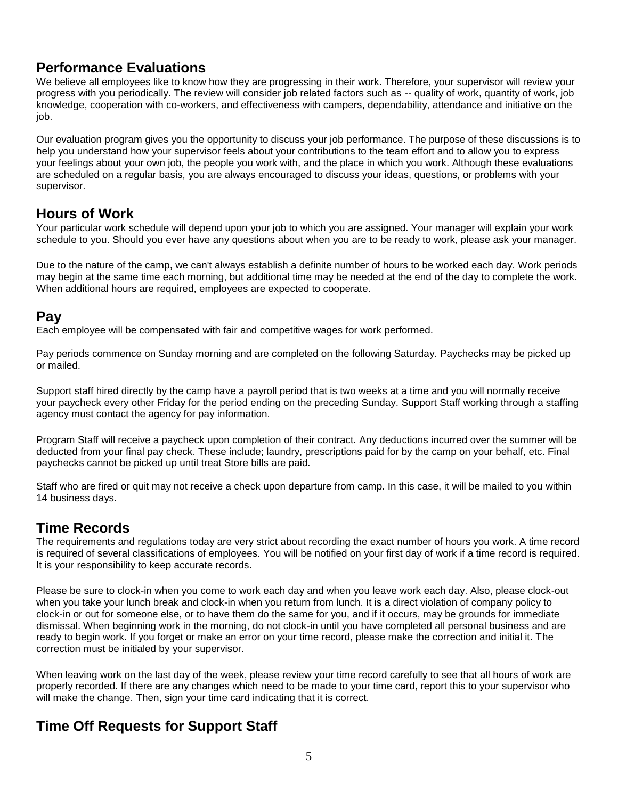# <span id="page-4-0"></span>**Performance Evaluations**

We believe all employees like to know how they are progressing in their work. Therefore, your supervisor will review your progress with you periodically. The review will consider job related factors such as -- quality of work, quantity of work, job knowledge, cooperation with co-workers, and effectiveness with campers, dependability, attendance and initiative on the job.

Our evaluation program gives you the opportunity to discuss your job performance. The purpose of these discussions is to help you understand how your supervisor feels about your contributions to the team effort and to allow you to express your feelings about your own job, the people you work with, and the place in which you work. Although these evaluations are scheduled on a regular basis, you are always encouraged to discuss your ideas, questions, or problems with your supervisor.

#### <span id="page-4-1"></span>**Hours of Work**

Your particular work schedule will depend upon your job to which you are assigned. Your manager will explain your work schedule to you. Should you ever have any questions about when you are to be ready to work, please ask your manager.

Due to the nature of the camp, we can't always establish a definite number of hours to be worked each day. Work periods may begin at the same time each morning, but additional time may be needed at the end of the day to complete the work. When additional hours are required, employees are expected to cooperate.

#### <span id="page-4-2"></span>**Pay**

Each employee will be compensated with fair and competitive wages for work performed.

Pay periods commence on Sunday morning and are completed on the following Saturday. Paychecks may be picked up or mailed.

Support staff hired directly by the camp have a payroll period that is two weeks at a time and you will normally receive your paycheck every other Friday for the period ending on the preceding Sunday. Support Staff working through a staffing agency must contact the agency for pay information.

Program Staff will receive a paycheck upon completion of their contract. Any deductions incurred over the summer will be deducted from your final pay check. These include; laundry, prescriptions paid for by the camp on your behalf, etc. Final paychecks cannot be picked up until treat Store bills are paid.

Staff who are fired or quit may not receive a check upon departure from camp. In this case, it will be mailed to you within 14 business days.

# <span id="page-4-3"></span>**Time Records**

The requirements and regulations today are very strict about recording the exact number of hours you work. A time record is required of several classifications of employees. You will be notified on your first day of work if a time record is required. It is your responsibility to keep accurate records.

Please be sure to clock-in when you come to work each day and when you leave work each day. Also, please clock-out when you take your lunch break and clock-in when you return from lunch. It is a direct violation of company policy to clock-in or out for someone else, or to have them do the same for you, and if it occurs, may be grounds for immediate dismissal. When beginning work in the morning, do not clock-in until you have completed all personal business and are ready to begin work. If you forget or make an error on your time record, please make the correction and initial it. The correction must be initialed by your supervisor.

When leaving work on the last day of the week, please review your time record carefully to see that all hours of work are properly recorded. If there are any changes which need to be made to your time card, report this to your supervisor who will make the change. Then, sign your time card indicating that it is correct.

# **Time Off Requests for Support Staff**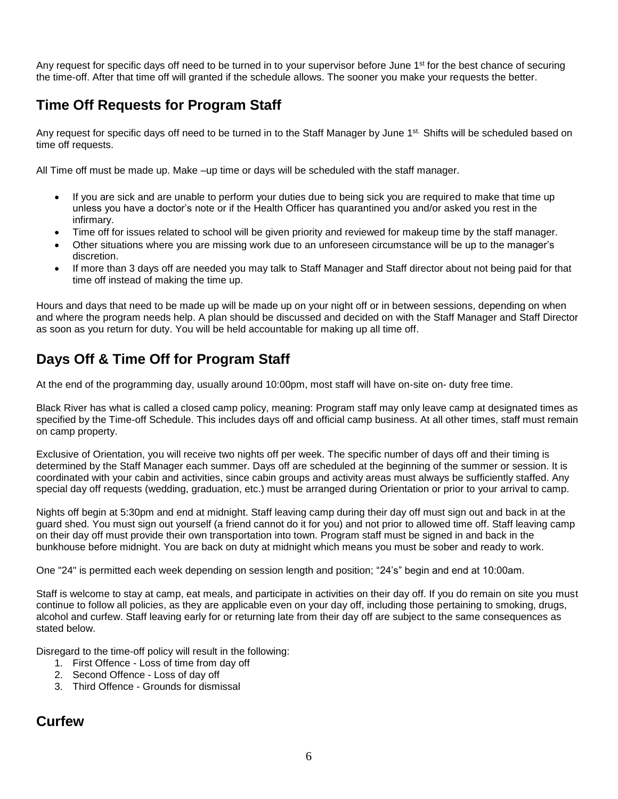Any request for specific days off need to be turned in to your supervisor before June 1<sup>st</sup> for the best chance of securing the time-off. After that time off will granted if the schedule allows. The sooner you make your requests the better.

# **Time Off Requests for Program Staff**

Any request for specific days off need to be turned in to the Staff Manager by June 1st. Shifts will be scheduled based on time off requests.

All Time off must be made up. Make –up time or days will be scheduled with the staff manager.

- If you are sick and are unable to perform your duties due to being sick you are required to make that time up unless you have a doctor's note or if the Health Officer has quarantined you and/or asked you rest in the infirmary.
- Time off for issues related to school will be given priority and reviewed for makeup time by the staff manager.
- Other situations where you are missing work due to an unforeseen circumstance will be up to the manager's discretion.
- If more than 3 days off are needed you may talk to Staff Manager and Staff director about not being paid for that time off instead of making the time up.

Hours and days that need to be made up will be made up on your night off or in between sessions, depending on when and where the program needs help. A plan should be discussed and decided on with the Staff Manager and Staff Director as soon as you return for duty. You will be held accountable for making up all time off.

# <span id="page-5-0"></span>**Days Off & Time Off for Program Staff**

At the end of the programming day, usually around 10:00pm, most staff will have on-site on- duty free time.

Black River has what is called a closed camp policy, meaning: Program staff may only leave camp at designated times as specified by the Time-off Schedule. This includes days off and official camp business. At all other times, staff must remain on camp property.

Exclusive of Orientation, you will receive two nights off per week. The specific number of days off and their timing is determined by the Staff Manager each summer. Days off are scheduled at the beginning of the summer or session. It is coordinated with your cabin and activities, since cabin groups and activity areas must always be sufficiently staffed. Any special day off requests (wedding, graduation, etc.) must be arranged during Orientation or prior to your arrival to camp.

Nights off begin at 5:30pm and end at midnight. Staff leaving camp during their day off must sign out and back in at the guard shed. You must sign out yourself (a friend cannot do it for you) and not prior to allowed time off. Staff leaving camp on their day off must provide their own transportation into town. Program staff must be signed in and back in the bunkhouse before midnight. You are back on duty at midnight which means you must be sober and ready to work.

One "24" is permitted each week depending on session length and position; "24's" begin and end at 10:00am.

Staff is welcome to stay at camp, eat meals, and participate in activities on their day off. If you do remain on site you must continue to follow all policies, as they are applicable even on your day off, including those pertaining to smoking, drugs, alcohol and curfew. Staff leaving early for or returning late from their day off are subject to the same consequences as stated below.

Disregard to the time-off policy will result in the following:

- 1. First Offence Loss of time from day off
- 2. Second Offence Loss of day off
- 3. Third Offence Grounds for dismissal

#### <span id="page-5-1"></span>**Curfew**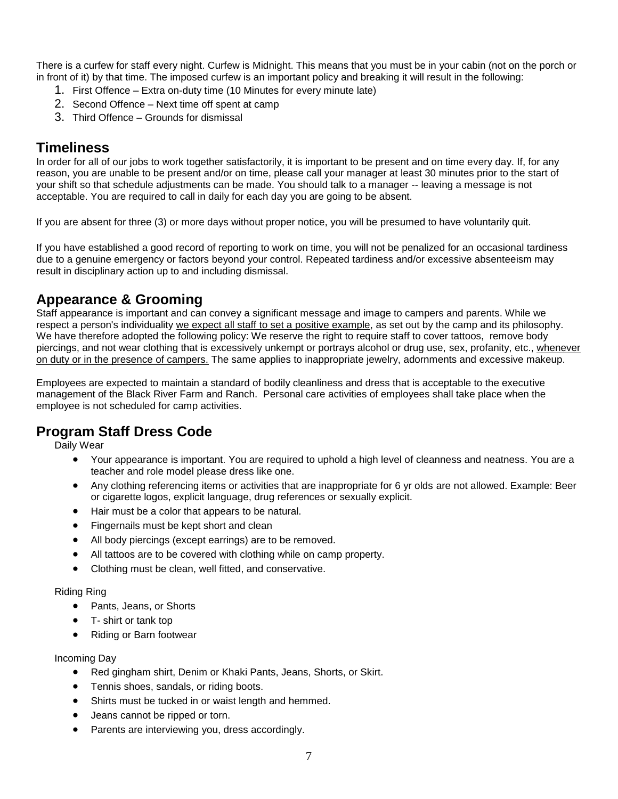There is a curfew for staff every night. Curfew is Midnight. This means that you must be in your cabin (not on the porch or in front of it) by that time. The imposed curfew is an important policy and breaking it will result in the following:

- 1. First Offence Extra on-duty time (10 Minutes for every minute late)
- 2. Second Offence Next time off spent at camp
- 3. Third Offence Grounds for dismissal

#### <span id="page-6-0"></span>**Timeliness**

In order for all of our jobs to work together satisfactorily, it is important to be present and on time every day. If, for any reason, you are unable to be present and/or on time, please call your manager at least 30 minutes prior to the start of your shift so that schedule adjustments can be made. You should talk to a manager -- leaving a message is not acceptable. You are required to call in daily for each day you are going to be absent.

If you are absent for three (3) or more days without proper notice, you will be presumed to have voluntarily quit.

If you have established a good record of reporting to work on time, you will not be penalized for an occasional tardiness due to a genuine emergency or factors beyond your control. Repeated tardiness and/or excessive absenteeism may result in disciplinary action up to and including dismissal.

# <span id="page-6-1"></span>**Appearance & Grooming**

Staff appearance is important and can convey a significant message and image to campers and parents. While we respect a person's individuality we expect all staff to set a positive example, as set out by the camp and its philosophy. We have therefore adopted the following policy: We reserve the right to require staff to cover tattoos, remove body piercings, and not wear clothing that is excessively unkempt or portrays alcohol or drug use, sex, profanity, etc., whenever on duty or in the presence of campers. The same applies to inappropriate jewelry, adornments and excessive makeup.

Employees are expected to maintain a standard of bodily cleanliness and dress that is acceptable to the executive management of the Black River Farm and Ranch. Personal care activities of employees shall take place when the employee is not scheduled for camp activities.

#### <span id="page-6-2"></span>**Program Staff Dress Code**

Daily Wear

- Your appearance is important. You are required to uphold a high level of cleanness and neatness. You are a teacher and role model please dress like one.
- Any clothing referencing items or activities that are inappropriate for 6 yr olds are not allowed. Example: Beer or cigarette logos, explicit language, drug references or sexually explicit.
- Hair must be a color that appears to be natural.
- Fingernails must be kept short and clean
- All body piercings (except earrings) are to be removed.
- All tattoos are to be covered with clothing while on camp property.
- Clothing must be clean, well fitted, and conservative.

#### Riding Ring

- Pants, Jeans, or Shorts
- T- shirt or tank top
- Riding or Barn footwear

#### Incoming Day

- Red gingham shirt, Denim or Khaki Pants, Jeans, Shorts, or Skirt.
- Tennis shoes, sandals, or riding boots.
- Shirts must be tucked in or waist length and hemmed.
- Jeans cannot be ripped or torn.
- Parents are interviewing you, dress accordingly.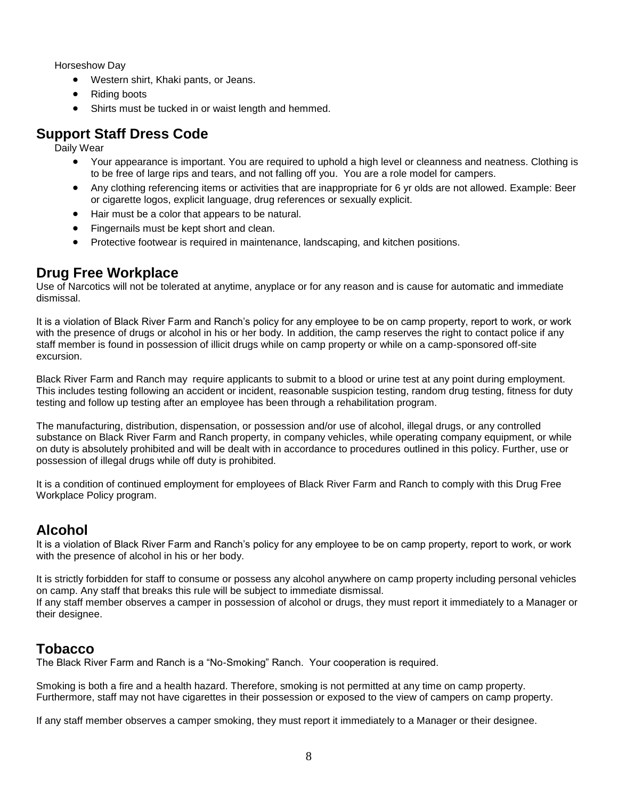Horseshow Day

- Western shirt, Khaki pants, or Jeans.
- Riding boots
- Shirts must be tucked in or waist length and hemmed.

#### <span id="page-7-0"></span>**Support Staff Dress Code**

Daily Wear

- Your appearance is important. You are required to uphold a high level or cleanness and neatness. Clothing is to be free of large rips and tears, and not falling off you. You are a role model for campers.
- Any clothing referencing items or activities that are inappropriate for 6 yr olds are not allowed. Example: Beer or cigarette logos, explicit language, drug references or sexually explicit.
- Hair must be a color that appears to be natural.
- Fingernails must be kept short and clean.
- Protective footwear is required in maintenance, landscaping, and kitchen positions.

#### <span id="page-7-1"></span>**Drug Free Workplace**

Use of Narcotics will not be tolerated at anytime, anyplace or for any reason and is cause for automatic and immediate dismissal.

It is a violation of Black River Farm and Ranch's policy for any employee to be on camp property, report to work, or work with the presence of drugs or alcohol in his or her body. In addition, the camp reserves the right to contact police if any staff member is found in possession of illicit drugs while on camp property or while on a camp-sponsored off-site excursion.

Black River Farm and Ranch may require applicants to submit to a blood or urine test at any point during employment. This includes testing following an accident or incident, reasonable suspicion testing, random drug testing, fitness for duty testing and follow up testing after an employee has been through a rehabilitation program.

The manufacturing, distribution, dispensation, or possession and/or use of alcohol, illegal drugs, or any controlled substance on Black River Farm and Ranch property, in company vehicles, while operating company equipment, or while on duty is absolutely prohibited and will be dealt with in accordance to procedures outlined in this policy. Further, use or possession of illegal drugs while off duty is prohibited.

It is a condition of continued employment for employees of Black River Farm and Ranch to comply with this Drug Free Workplace Policy program.

# <span id="page-7-2"></span>**Alcohol**

It is a violation of Black River Farm and Ranch's policy for any employee to be on camp property, report to work, or work with the presence of alcohol in his or her body.

It is strictly forbidden for staff to consume or possess any alcohol anywhere on camp property including personal vehicles on camp. Any staff that breaks this rule will be subject to immediate dismissal. If any staff member observes a camper in possession of alcohol or drugs, they must report it immediately to a Manager or their designee.

# <span id="page-7-3"></span>**Tobacco**

The Black River Farm and Ranch is a "No-Smoking" Ranch. Your cooperation is required.

Smoking is both a fire and a health hazard. Therefore, smoking is not permitted at any time on camp property. Furthermore, staff may not have cigarettes in their possession or exposed to the view of campers on camp property.

If any staff member observes a camper smoking, they must report it immediately to a Manager or their designee.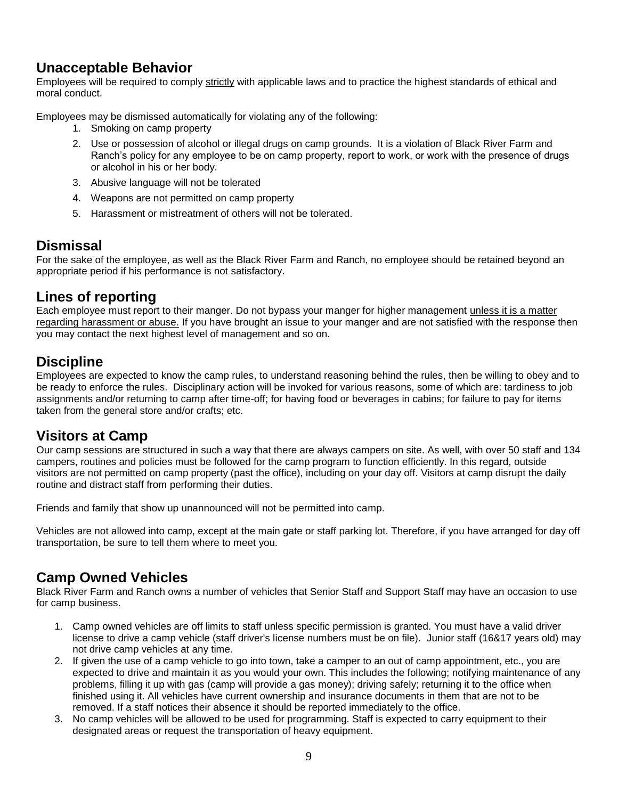# <span id="page-8-0"></span>**Unacceptable Behavior**

Employees will be required to comply strictly with applicable laws and to practice the highest standards of ethical and moral conduct.

Employees may be dismissed automatically for violating any of the following:

- 1. Smoking on camp property
- 2. Use or possession of alcohol or illegal drugs on camp grounds. It is a violation of Black River Farm and Ranch's policy for any employee to be on camp property, report to work, or work with the presence of drugs or alcohol in his or her body.
- 3. Abusive language will not be tolerated
- 4. Weapons are not permitted on camp property
- 5. Harassment or mistreatment of others will not be tolerated.

# <span id="page-8-1"></span>**Dismissal**

For the sake of the employee, as well as the Black River Farm and Ranch, no employee should be retained beyond an appropriate period if his performance is not satisfactory.

#### <span id="page-8-2"></span>**Lines of reporting**

Each employee must report to their manger. Do not bypass your manger for higher management unless it is a matter regarding harassment or abuse. If you have brought an issue to your manger and are not satisfied with the response then you may contact the next highest level of management and so on.

# <span id="page-8-3"></span>**Discipline**

Employees are expected to know the camp rules, to understand reasoning behind the rules, then be willing to obey and to be ready to enforce the rules. Disciplinary action will be invoked for various reasons, some of which are: tardiness to job assignments and/or returning to camp after time-off; for having food or beverages in cabins; for failure to pay for items taken from the general store and/or crafts; etc.

#### <span id="page-8-4"></span>**Visitors at Camp**

Our camp sessions are structured in such a way that there are always campers on site. As well, with over 50 staff and 134 campers, routines and policies must be followed for the camp program to function efficiently. In this regard, outside visitors are not permitted on camp property (past the office), including on your day off. Visitors at camp disrupt the daily routine and distract staff from performing their duties.

Friends and family that show up unannounced will not be permitted into camp.

Vehicles are not allowed into camp, except at the main gate or staff parking lot. Therefore, if you have arranged for day off transportation, be sure to tell them where to meet you.

# <span id="page-8-5"></span>**Camp Owned Vehicles**

Black River Farm and Ranch owns a number of vehicles that Senior Staff and Support Staff may have an occasion to use for camp business.

- 1. Camp owned vehicles are off limits to staff unless specific permission is granted. You must have a valid driver license to drive a camp vehicle (staff driver's license numbers must be on file). Junior staff (16&17 years old) may not drive camp vehicles at any time.
- 2. If given the use of a camp vehicle to go into town, take a camper to an out of camp appointment, etc., you are expected to drive and maintain it as you would your own. This includes the following; notifying maintenance of any problems, filling it up with gas (camp will provide a gas money); driving safely; returning it to the office when finished using it. All vehicles have current ownership and insurance documents in them that are not to be removed. If a staff notices their absence it should be reported immediately to the office.
- 3. No camp vehicles will be allowed to be used for programming. Staff is expected to carry equipment to their designated areas or request the transportation of heavy equipment.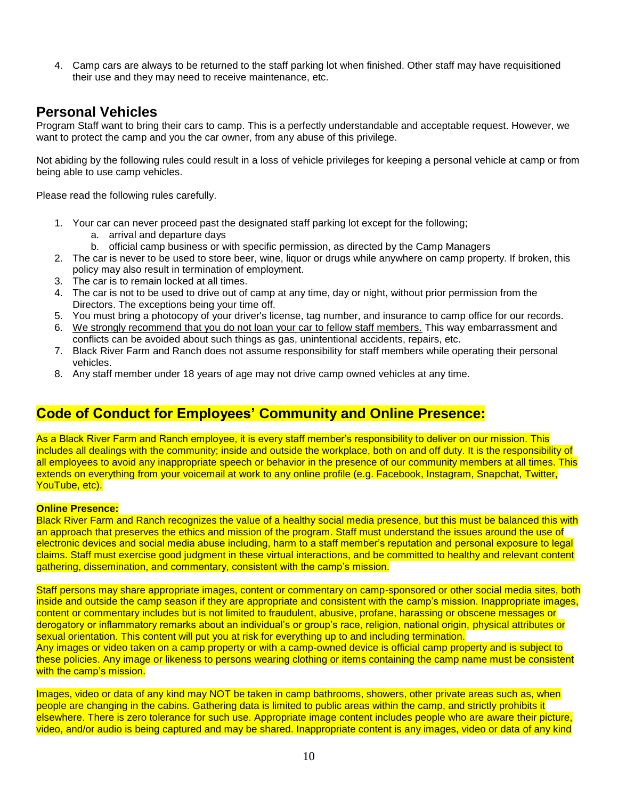4. Camp cars are always to be returned to the staff parking lot when finished. Other staff may have requisitioned their use and they may need to receive maintenance, etc.

#### <span id="page-9-0"></span>**Personal Vehicles**

Program Staff want to bring their cars to camp. This is a perfectly understandable and acceptable request. However, we want to protect the camp and you the car owner, from any abuse of this privilege.

Not abiding by the following rules could result in a loss of vehicle privileges for keeping a personal vehicle at camp or from being able to use camp vehicles.

Please read the following rules carefully.

- 1. Your car can never proceed past the designated staff parking lot except for the following;
	- a. arrival and departure days
	- b. official camp business or with specific permission, as directed by the Camp Managers
- 2. The car is never to be used to store beer, wine, liquor or drugs while anywhere on camp property. If broken, this policy may also result in termination of employment.
- 3. The car is to remain locked at all times.
- 4. The car is not to be used to drive out of camp at any time, day or night, without prior permission from the Directors. The exceptions being your time off.
- 5. You must bring a photocopy of your driver's license, tag number, and insurance to camp office for our records.
- 6. We strongly recommend that you do not loan your car to fellow staff members. This way embarrassment and conflicts can be avoided about such things as gas, unintentional accidents, repairs, etc.
- 7. Black River Farm and Ranch does not assume responsibility for staff members while operating their personal vehicles.
- 8. Any staff member under 18 years of age may not drive camp owned vehicles at any time.

## **Code of Conduct for Employees' Community and Online Presence:**

As a Black River Farm and Ranch employee, it is every staff member's responsibility to deliver on our mission. This includes all dealings with the community; inside and outside the workplace, both on and off duty. It is the responsibility of all employees to avoid any inappropriate speech or behavior in the presence of our community members at all times. This extends on everything from your voicemail at work to any online profile (e.g. Facebook, Instagram, Snapchat, Twitter, YouTube, etc).

#### **Online Presence:**

Black River Farm and Ranch recognizes the value of a healthy social media presence, but this must be balanced this with an approach that preserves the ethics and mission of the program. Staff must understand the issues around the use of electronic devices and social media abuse including, harm to a staff member's reputation and personal exposure to legal claims. Staff must exercise good judgment in these virtual interactions, and be committed to healthy and relevant content gathering, dissemination, and commentary, consistent with the camp's mission.

Staff persons may share appropriate images, content or commentary on camp-sponsored or other social media sites, both inside and outside the camp season if they are appropriate and consistent with the camp's mission. Inappropriate images, content or commentary includes but is not limited to fraudulent, abusive, profane, harassing or obscene messages or derogatory or inflammatory remarks about an individual's or group's race, religion, national origin, physical attributes or sexual orientation. This content will put you at risk for everything up to and including termination. Any images or video taken on a camp property or with a camp-owned device is official camp property and is subject to these policies. Any image or likeness to persons wearing clothing or items containing the camp name must be consistent with the camp's mission.

Images, video or data of any kind may NOT be taken in camp bathrooms, showers, other private areas such as, when people are changing in the cabins. Gathering data is limited to public areas within the camp, and strictly prohibits it elsewhere. There is zero tolerance for such use. Appropriate image content includes people who are aware their picture, video, and/or audio is being captured and may be shared. Inappropriate content is any images, video or data of any kind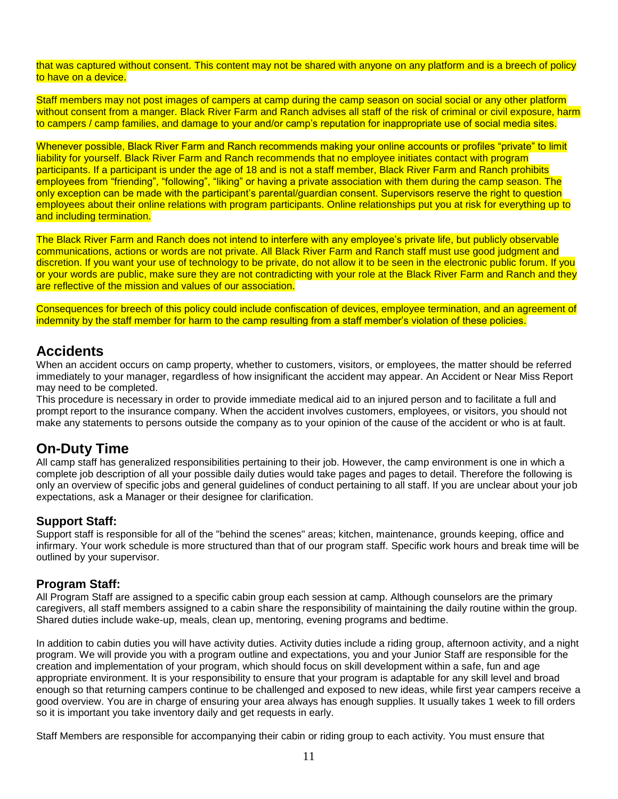that was captured without consent. This content may not be shared with anyone on any platform and is a breech of policy to have on a device.

Staff members may not post images of campers at camp during the camp season on social social or any other platform without consent from a manger. Black River Farm and Ranch advises all staff of the risk of criminal or civil exposure, harm to campers / camp families, and damage to your and/or camp's reputation for inappropriate use of social media sites.

Whenever possible, Black River Farm and Ranch recommends making your online accounts or profiles "private" to limit liability for yourself. Black River Farm and Ranch recommends that no employee initiates contact with program participants. If a participant is under the age of 18 and is not a staff member, Black River Farm and Ranch prohibits employees from "friending", "following", "liking" or having a private association with them during the camp season. The only exception can be made with the participant's parental/guardian consent. Supervisors reserve the right to question employees about their online relations with program participants. Online relationships put you at risk for everything up to and including termination.

The Black River Farm and Ranch does not intend to interfere with any employee's private life, but publicly observable communications, actions or words are not private. All Black River Farm and Ranch staff must use good judgment and discretion. If you want your use of technology to be private, do not allow it to be seen in the electronic public forum. If you or your words are public, make sure they are not contradicting with your role at the Black River Farm and Ranch and they are reflective of the mission and values of our association.

Consequences for breech of this policy could include confiscation of devices, employee termination, and an agreement of indemnity by the staff member for harm to the camp resulting from a staff member's violation of these policies.

#### <span id="page-10-0"></span>**Accidents**

When an accident occurs on camp property, whether to customers, visitors, or employees, the matter should be referred immediately to your manager, regardless of how insignificant the accident may appear. An Accident or Near Miss Report may need to be completed.

This procedure is necessary in order to provide immediate medical aid to an injured person and to facilitate a full and prompt report to the insurance company. When the accident involves customers, employees, or visitors, you should not make any statements to persons outside the company as to your opinion of the cause of the accident or who is at fault.

# <span id="page-10-1"></span>**On-Duty Time**

All camp staff has generalized responsibilities pertaining to their job. However, the camp environment is one in which a complete job description of all your possible daily duties would take pages and pages to detail. Therefore the following is only an overview of specific jobs and general guidelines of conduct pertaining to all staff. If you are unclear about your job expectations, ask a Manager or their designee for clarification.

#### <span id="page-10-2"></span>**Support Staff:**

Support staff is responsible for all of the "behind the scenes" areas; kitchen, maintenance, grounds keeping, office and infirmary. Your work schedule is more structured than that of our program staff. Specific work hours and break time will be outlined by your supervisor.

#### <span id="page-10-3"></span>**Program Staff:**

All Program Staff are assigned to a specific cabin group each session at camp. Although counselors are the primary caregivers, all staff members assigned to a cabin share the responsibility of maintaining the daily routine within the group. Shared duties include wake-up, meals, clean up, mentoring, evening programs and bedtime.

In addition to cabin duties you will have activity duties. Activity duties include a riding group, afternoon activity, and a night program. We will provide you with a program outline and expectations, you and your Junior Staff are responsible for the creation and implementation of your program, which should focus on skill development within a safe, fun and age appropriate environment. It is your responsibility to ensure that your program is adaptable for any skill level and broad enough so that returning campers continue to be challenged and exposed to new ideas, while first year campers receive a good overview. You are in charge of ensuring your area always has enough supplies. It usually takes 1 week to fill orders so it is important you take inventory daily and get requests in early.

Staff Members are responsible for accompanying their cabin or riding group to each activity. You must ensure that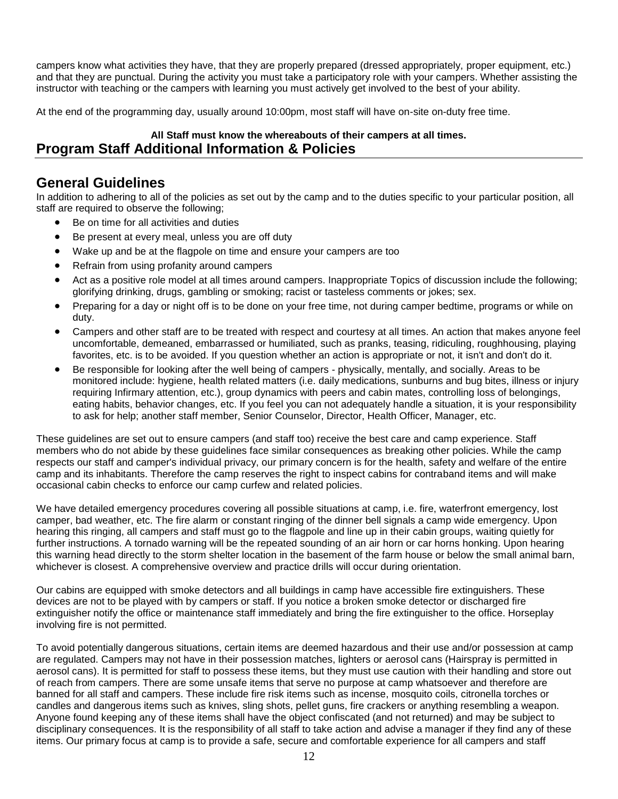campers know what activities they have, that they are properly prepared (dressed appropriately, proper equipment, etc.) and that they are punctual. During the activity you must take a participatory role with your campers. Whether assisting the instructor with teaching or the campers with learning you must actively get involved to the best of your ability.

At the end of the programming day, usually around 10:00pm, most staff will have on-site on-duty free time.

#### **All Staff must know the whereabouts of their campers at all times. Program Staff Additional Information & Policies**

#### <span id="page-11-0"></span>**General Guidelines**

In addition to adhering to all of the policies as set out by the camp and to the duties specific to your particular position, all staff are required to observe the following;

- Be on time for all activities and duties
- Be present at every meal, unless you are off duty
- Wake up and be at the flagpole on time and ensure your campers are too
- Refrain from using profanity around campers
- Act as a positive role model at all times around campers. Inappropriate Topics of discussion include the following; glorifying drinking, drugs, gambling or smoking; racist or tasteless comments or jokes; sex.
- Preparing for a day or night off is to be done on your free time, not during camper bedtime, programs or while on duty.
- Campers and other staff are to be treated with respect and courtesy at all times. An action that makes anyone feel uncomfortable, demeaned, embarrassed or humiliated, such as pranks, teasing, ridiculing, roughhousing, playing favorites, etc. is to be avoided. If you question whether an action is appropriate or not, it isn't and don't do it.
- Be responsible for looking after the well being of campers physically, mentally, and socially. Areas to be monitored include: hygiene, health related matters (i.e. daily medications, sunburns and bug bites, illness or injury requiring Infirmary attention, etc.), group dynamics with peers and cabin mates, controlling loss of belongings, eating habits, behavior changes, etc. If you feel you can not adequately handle a situation, it is your responsibility to ask for help; another staff member, Senior Counselor, Director, Health Officer, Manager, etc.

These guidelines are set out to ensure campers (and staff too) receive the best care and camp experience. Staff members who do not abide by these guidelines face similar consequences as breaking other policies. While the camp respects our staff and camper's individual privacy, our primary concern is for the health, safety and welfare of the entire camp and its inhabitants. Therefore the camp reserves the right to inspect cabins for contraband items and will make occasional cabin checks to enforce our camp curfew and related policies.

We have detailed emergency procedures covering all possible situations at camp, i.e. fire, waterfront emergency, lost camper, bad weather, etc. The fire alarm or constant ringing of the dinner bell signals a camp wide emergency. Upon hearing this ringing, all campers and staff must go to the flagpole and line up in their cabin groups, waiting quietly for further instructions. A tornado warning will be the repeated sounding of an air horn or car horns honking. Upon hearing this warning head directly to the storm shelter location in the basement of the farm house or below the small animal barn, whichever is closest. A comprehensive overview and practice drills will occur during orientation.

Our cabins are equipped with smoke detectors and all buildings in camp have accessible fire extinguishers. These devices are not to be played with by campers or staff. If you notice a broken smoke detector or discharged fire extinguisher notify the office or maintenance staff immediately and bring the fire extinguisher to the office. Horseplay involving fire is not permitted.

To avoid potentially dangerous situations, certain items are deemed hazardous and their use and/or possession at camp are regulated. Campers may not have in their possession matches, lighters or aerosol cans (Hairspray is permitted in aerosol cans). It is permitted for staff to possess these items, but they must use caution with their handling and store out of reach from campers. There are some unsafe items that serve no purpose at camp whatsoever and therefore are banned for all staff and campers. These include fire risk items such as incense, mosquito coils, citronella torches or candles and dangerous items such as knives, sling shots, pellet guns, fire crackers or anything resembling a weapon. Anyone found keeping any of these items shall have the object confiscated (and not returned) and may be subject to disciplinary consequences. It is the responsibility of all staff to take action and advise a manager if they find any of these items. Our primary focus at camp is to provide a safe, secure and comfortable experience for all campers and staff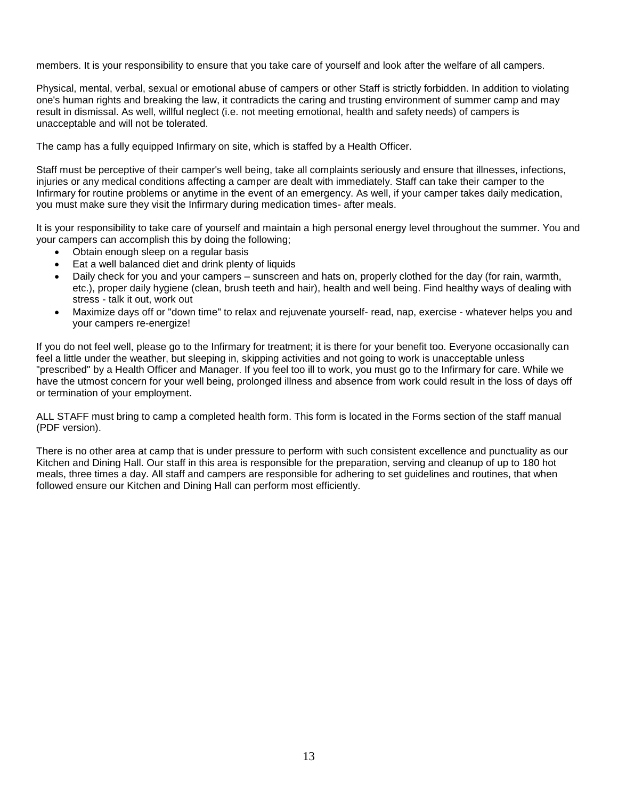members. It is your responsibility to ensure that you take care of yourself and look after the welfare of all campers.

Physical, mental, verbal, sexual or emotional abuse of campers or other Staff is strictly forbidden. In addition to violating one's human rights and breaking the law, it contradicts the caring and trusting environment of summer camp and may result in dismissal. As well, willful neglect (i.e. not meeting emotional, health and safety needs) of campers is unacceptable and will not be tolerated.

The camp has a fully equipped Infirmary on site, which is staffed by a Health Officer.

Staff must be perceptive of their camper's well being, take all complaints seriously and ensure that illnesses, infections, injuries or any medical conditions affecting a camper are dealt with immediately. Staff can take their camper to the Infirmary for routine problems or anytime in the event of an emergency. As well, if your camper takes daily medication, you must make sure they visit the Infirmary during medication times- after meals.

It is your responsibility to take care of yourself and maintain a high personal energy level throughout the summer. You and your campers can accomplish this by doing the following;

- Obtain enough sleep on a regular basis
- Eat a well balanced diet and drink plenty of liquids
- Daily check for you and your campers sunscreen and hats on, properly clothed for the day (for rain, warmth, etc.), proper daily hygiene (clean, brush teeth and hair), health and well being. Find healthy ways of dealing with stress - talk it out, work out
- Maximize days off or "down time" to relax and rejuvenate yourself- read, nap, exercise whatever helps you and your campers re-energize!

If you do not feel well, please go to the Infirmary for treatment; it is there for your benefit too. Everyone occasionally can feel a little under the weather, but sleeping in, skipping activities and not going to work is unacceptable unless "prescribed" by a Health Officer and Manager. If you feel too ill to work, you must go to the Infirmary for care. While we have the utmost concern for your well being, prolonged illness and absence from work could result in the loss of days off or termination of your employment.

ALL STAFF must bring to camp a completed health form. This form is located in the Forms section of the staff manual (PDF version).

There is no other area at camp that is under pressure to perform with such consistent excellence and punctuality as our Kitchen and Dining Hall. Our staff in this area is responsible for the preparation, serving and cleanup of up to 180 hot meals, three times a day. All staff and campers are responsible for adhering to set guidelines and routines, that when followed ensure our Kitchen and Dining Hall can perform most efficiently.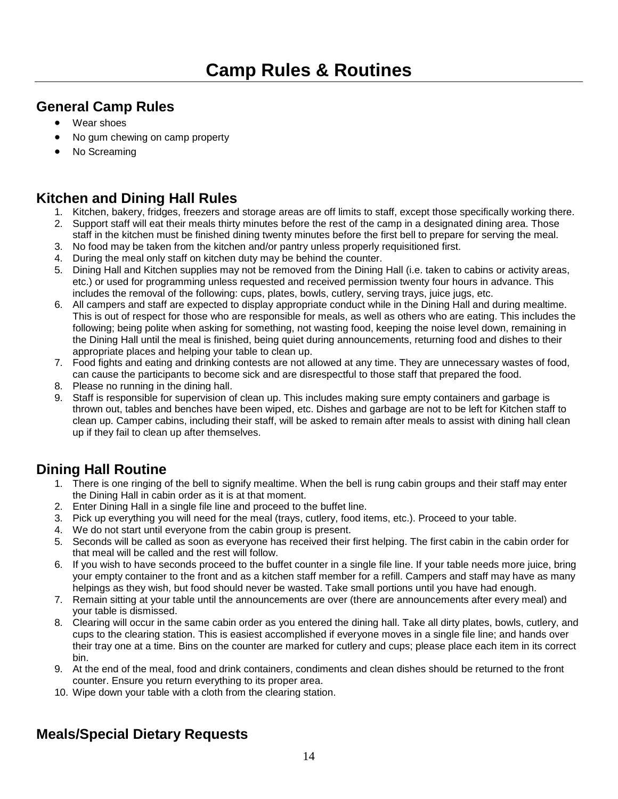# <span id="page-13-1"></span><span id="page-13-0"></span>**General Camp Rules**

- Wear shoes
- No gum chewing on camp property
- No Screaming

#### <span id="page-13-2"></span>**Kitchen and Dining Hall Rules**

- 1. Kitchen, bakery, fridges, freezers and storage areas are off limits to staff, except those specifically working there.
- 2. Support staff will eat their meals thirty minutes before the rest of the camp in a designated dining area. Those staff in the kitchen must be finished dining twenty minutes before the first bell to prepare for serving the meal.
- 3. No food may be taken from the kitchen and/or pantry unless properly requisitioned first.
- 4. During the meal only staff on kitchen duty may be behind the counter.
- 5. Dining Hall and Kitchen supplies may not be removed from the Dining Hall (i.e. taken to cabins or activity areas, etc.) or used for programming unless requested and received permission twenty four hours in advance. This includes the removal of the following: cups, plates, bowls, cutlery, serving trays, juice jugs, etc.
- 6. All campers and staff are expected to display appropriate conduct while in the Dining Hall and during mealtime. This is out of respect for those who are responsible for meals, as well as others who are eating. This includes the following; being polite when asking for something, not wasting food, keeping the noise level down, remaining in the Dining Hall until the meal is finished, being quiet during announcements, returning food and dishes to their appropriate places and helping your table to clean up.
- 7. Food fights and eating and drinking contests are not allowed at any time. They are unnecessary wastes of food, can cause the participants to become sick and are disrespectful to those staff that prepared the food.
- 8. Please no running in the dining hall.
- 9. Staff is responsible for supervision of clean up. This includes making sure empty containers and garbage is thrown out, tables and benches have been wiped, etc. Dishes and garbage are not to be left for Kitchen staff to clean up. Camper cabins, including their staff, will be asked to remain after meals to assist with dining hall clean up if they fail to clean up after themselves.

# <span id="page-13-3"></span>**Dining Hall Routine**

- 1. There is one ringing of the bell to signify mealtime. When the bell is rung cabin groups and their staff may enter the Dining Hall in cabin order as it is at that moment.
- 2. Enter Dining Hall in a single file line and proceed to the buffet line.
- 3. Pick up everything you will need for the meal (trays, cutlery, food items, etc.). Proceed to your table.
- 4. We do not start until everyone from the cabin group is present.
- 5. Seconds will be called as soon as everyone has received their first helping. The first cabin in the cabin order for that meal will be called and the rest will follow.
- 6. If you wish to have seconds proceed to the buffet counter in a single file line. If your table needs more juice, bring your empty container to the front and as a kitchen staff member for a refill. Campers and staff may have as many helpings as they wish, but food should never be wasted. Take small portions until you have had enough.
- 7. Remain sitting at your table until the announcements are over (there are announcements after every meal) and your table is dismissed.
- 8. Clearing will occur in the same cabin order as you entered the dining hall. Take all dirty plates, bowls, cutlery, and cups to the clearing station. This is easiest accomplished if everyone moves in a single file line; and hands over their tray one at a time. Bins on the counter are marked for cutlery and cups; please place each item in its correct bin.
- 9. At the end of the meal, food and drink containers, condiments and clean dishes should be returned to the front counter. Ensure you return everything to its proper area.
- 10. Wipe down your table with a cloth from the clearing station.

# <span id="page-13-4"></span>**Meals/Special Dietary Requests**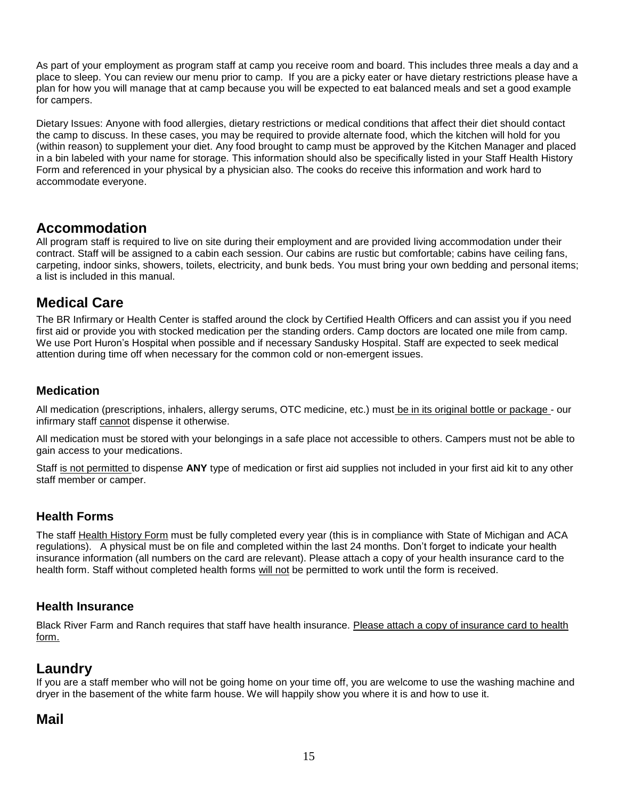As part of your employment as program staff at camp you receive room and board. This includes three meals a day and a place to sleep. You can review our menu prior to camp. If you are a picky eater or have dietary restrictions please have a plan for how you will manage that at camp because you will be expected to eat balanced meals and set a good example for campers.

Dietary Issues: Anyone with food allergies, dietary restrictions or medical conditions that affect their diet should contact the camp to discuss. In these cases, you may be required to provide alternate food, which the kitchen will hold for you (within reason) to supplement your diet. Any food brought to camp must be approved by the Kitchen Manager and placed in a bin labeled with your name for storage. This information should also be specifically listed in your Staff Health History Form and referenced in your physical by a physician also. The cooks do receive this information and work hard to accommodate everyone.

#### <span id="page-14-0"></span>**Accommodation**

All program staff is required to live on site during their employment and are provided living accommodation under their contract. Staff will be assigned to a cabin each session. Our cabins are rustic but comfortable; cabins have ceiling fans, carpeting, indoor sinks, showers, toilets, electricity, and bunk beds. You must bring your own bedding and personal items; a list is included in this manual.

# <span id="page-14-1"></span>**Medical Care**

The BR Infirmary or Health Center is staffed around the clock by Certified Health Officers and can assist you if you need first aid or provide you with stocked medication per the standing orders. Camp doctors are located one mile from camp. We use Port Huron's Hospital when possible and if necessary Sandusky Hospital. Staff are expected to seek medical attention during time off when necessary for the common cold or non-emergent issues.

#### **Medication**

All medication (prescriptions, inhalers, allergy serums, OTC medicine, etc.) must be in its original bottle or package - our infirmary staff cannot dispense it otherwise.

All medication must be stored with your belongings in a safe place not accessible to others. Campers must not be able to gain access to your medications.

Staff is not permitted to dispense **ANY** type of medication or first aid supplies not included in your first aid kit to any other staff member or camper.

#### **Health Forms**

The staff Health History Form must be fully completed every year (this is in compliance with State of Michigan and ACA regulations). A physical must be on file and completed within the last 24 months. Don't forget to indicate your health insurance information (all numbers on the card are relevant). Please attach a copy of your health insurance card to the health form. Staff without completed health forms will not be permitted to work until the form is received.

#### **Health Insurance**

Black River Farm and Ranch requires that staff have health insurance. Please attach a copy of insurance card to health form.

#### <span id="page-14-2"></span>**Laundry**

If you are a staff member who will not be going home on your time off, you are welcome to use the washing machine and dryer in the basement of the white farm house. We will happily show you where it is and how to use it.

#### <span id="page-14-3"></span>**Mail**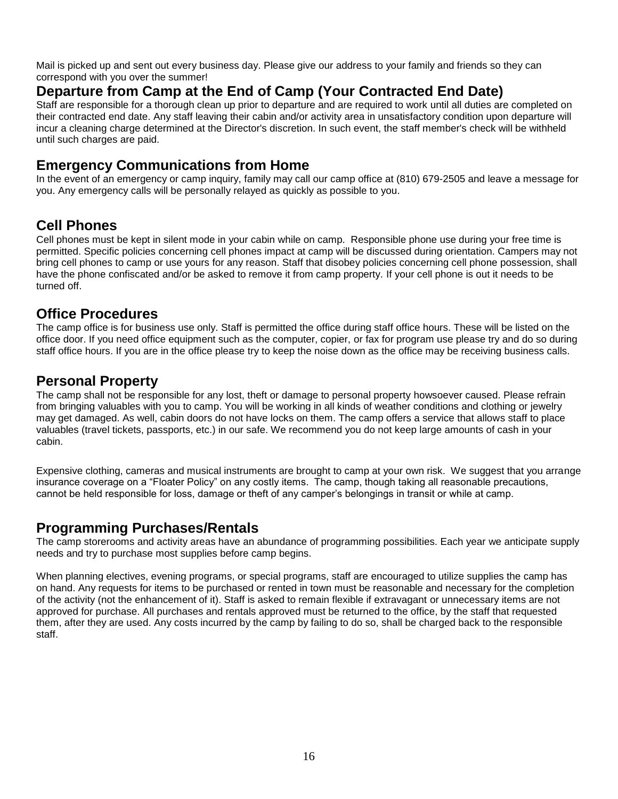Mail is picked up and sent out every business day. Please give our address to your family and friends so they can correspond with you over the summer!

# <span id="page-15-0"></span>**Departure from Camp at the End of Camp (Your Contracted End Date)**

Staff are responsible for a thorough clean up prior to departure and are required to work until all duties are completed on their contracted end date. Any staff leaving their cabin and/or activity area in unsatisfactory condition upon departure will incur a cleaning charge determined at the Director's discretion. In such event, the staff member's check will be withheld until such charges are paid.

#### <span id="page-15-1"></span>**Emergency Communications from Home**

In the event of an emergency or camp inquiry, family may call our camp office at (810) 679-2505 and leave a message for you. Any emergency calls will be personally relayed as quickly as possible to you.

# <span id="page-15-2"></span>**Cell Phones**

Cell phones must be kept in silent mode in your cabin while on camp. Responsible phone use during your free time is permitted. Specific policies concerning cell phones impact at camp will be discussed during orientation. Campers may not bring cell phones to camp or use yours for any reason. Staff that disobey policies concerning cell phone possession, shall have the phone confiscated and/or be asked to remove it from camp property. If your cell phone is out it needs to be turned off.

#### <span id="page-15-3"></span>**Office Procedures**

The camp office is for business use only. Staff is permitted the office during staff office hours. These will be listed on the office door. If you need office equipment such as the computer, copier, or fax for program use please try and do so during staff office hours. If you are in the office please try to keep the noise down as the office may be receiving business calls.

#### <span id="page-15-4"></span>**Personal Property**

The camp shall not be responsible for any lost, theft or damage to personal property howsoever caused. Please refrain from bringing valuables with you to camp. You will be working in all kinds of weather conditions and clothing or jewelry may get damaged. As well, cabin doors do not have locks on them. The camp offers a service that allows staff to place valuables (travel tickets, passports, etc.) in our safe. We recommend you do not keep large amounts of cash in your cabin.

Expensive clothing, cameras and musical instruments are brought to camp at your own risk. We suggest that you arrange insurance coverage on a "Floater Policy" on any costly items. The camp, though taking all reasonable precautions, cannot be held responsible for loss, damage or theft of any camper's belongings in transit or while at camp.

# <span id="page-15-5"></span>**Programming Purchases/Rentals**

The camp storerooms and activity areas have an abundance of programming possibilities. Each year we anticipate supply needs and try to purchase most supplies before camp begins.

When planning electives, evening programs, or special programs, staff are encouraged to utilize supplies the camp has on hand. Any requests for items to be purchased or rented in town must be reasonable and necessary for the completion of the activity (not the enhancement of it). Staff is asked to remain flexible if extravagant or unnecessary items are not approved for purchase. All purchases and rentals approved must be returned to the office, by the staff that requested them, after they are used. Any costs incurred by the camp by failing to do so, shall be charged back to the responsible staff.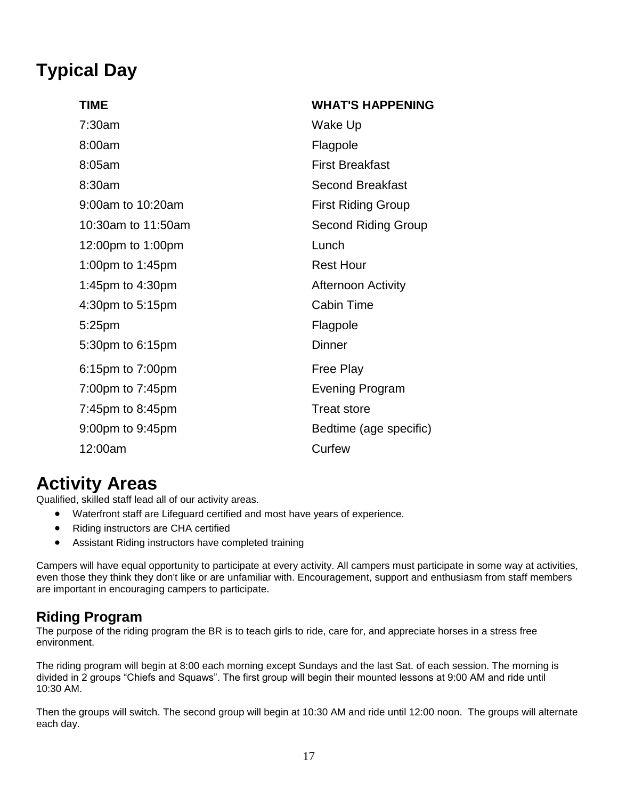# <span id="page-16-0"></span>**Typical Day**

| <b>TIME</b>        | <b>WHAT'S HAPPENING</b>    |
|--------------------|----------------------------|
| 7:30am             | Wake Up                    |
| 8:00am             | Flagpole                   |
| 8:05am             | <b>First Breakfast</b>     |
| 8:30am             | <b>Second Breakfast</b>    |
| 9:00am to 10:20am  | <b>First Riding Group</b>  |
| 10:30am to 11:50am | <b>Second Riding Group</b> |
| 12:00pm to 1:00pm  | Lunch                      |
| 1:00pm to 1:45pm   | <b>Rest Hour</b>           |
| 1:45pm to 4:30pm   | <b>Afternoon Activity</b>  |
| 4:30pm to 5:15pm   | <b>Cabin Time</b>          |
| 5:25pm             | Flagpole                   |
| 5:30pm to 6:15pm   | Dinner                     |
| 6:15pm to 7:00pm   | <b>Free Play</b>           |
| 7:00pm to 7:45pm   | <b>Evening Program</b>     |
| 7:45pm to 8:45pm   | <b>Treat store</b>         |
| 9:00pm to 9:45pm   | Bedtime (age specific)     |
| 12:00am            | Curfew                     |

# <span id="page-16-1"></span>**Activity Areas**

Qualified, skilled staff lead all of our activity areas.

- Waterfront staff are Lifeguard certified and most have years of experience.
- Riding instructors are CHA certified
- Assistant Riding instructors have completed training

Campers will have equal opportunity to participate at every activity. All campers must participate in some way at activities, even those they think they don't like or are unfamiliar with. Encouragement, support and enthusiasm from staff members are important in encouraging campers to participate.

# <span id="page-16-2"></span>**Riding Program**

The purpose of the riding program the BR is to teach girls to ride, care for, and appreciate horses in a stress free environment.

The riding program will begin at 8:00 each morning except Sundays and the last Sat. of each session. The morning is divided in 2 groups "Chiefs and Squaws". The first group will begin their mounted lessons at 9:00 AM and ride until 10:30 AM.

Then the groups will switch. The second group will begin at 10:30 AM and ride until 12:00 noon. The groups will alternate each day.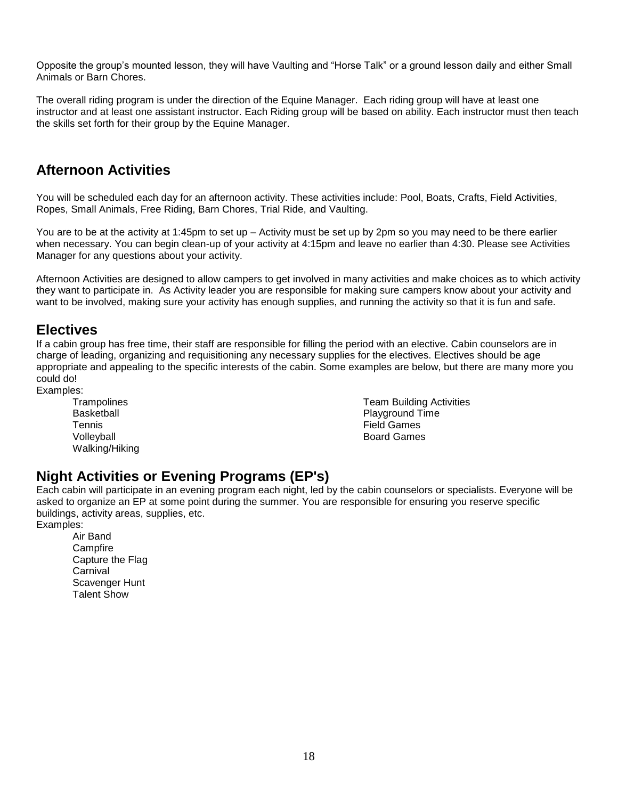Opposite the group's mounted lesson, they will have Vaulting and "Horse Talk" or a ground lesson daily and either Small Animals or Barn Chores.

The overall riding program is under the direction of the Equine Manager. Each riding group will have at least one instructor and at least one assistant instructor. Each Riding group will be based on ability. Each instructor must then teach the skills set forth for their group by the Equine Manager.

# <span id="page-17-0"></span>**Afternoon Activities**

You will be scheduled each day for an afternoon activity. These activities include: Pool, Boats, Crafts, Field Activities, Ropes, Small Animals, Free Riding, Barn Chores, Trial Ride, and Vaulting.

You are to be at the activity at 1:45pm to set up – Activity must be set up by 2pm so you may need to be there earlier when necessary. You can begin clean-up of your activity at 4:15pm and leave no earlier than 4:30. Please see Activities Manager for any questions about your activity.

Afternoon Activities are designed to allow campers to get involved in many activities and make choices as to which activity they want to participate in. As Activity leader you are responsible for making sure campers know about your activity and want to be involved, making sure your activity has enough supplies, and running the activity so that it is fun and safe.

#### <span id="page-17-1"></span>**Electives**

If a cabin group has free time, their staff are responsible for filling the period with an elective. Cabin counselors are in charge of leading, organizing and requisitioning any necessary supplies for the electives. Electives should be age appropriate and appealing to the specific interests of the cabin. Some examples are below, but there are many more you could do!

Examples:

**Trampolines Basketball** Tennis **Volleyball** Walking/Hiking Team Building Activities Playground Time Field Games Board Games

# <span id="page-17-2"></span>**Night Activities or Evening Programs (EP's)**

Each cabin will participate in an evening program each night, led by the cabin counselors or specialists. Everyone will be asked to organize an EP at some point during the summer. You are responsible for ensuring you reserve specific buildings, activity areas, supplies, etc. Examples:

Air Band **Campfire** Capture the Flag **Carnival** Scavenger Hunt Talent Show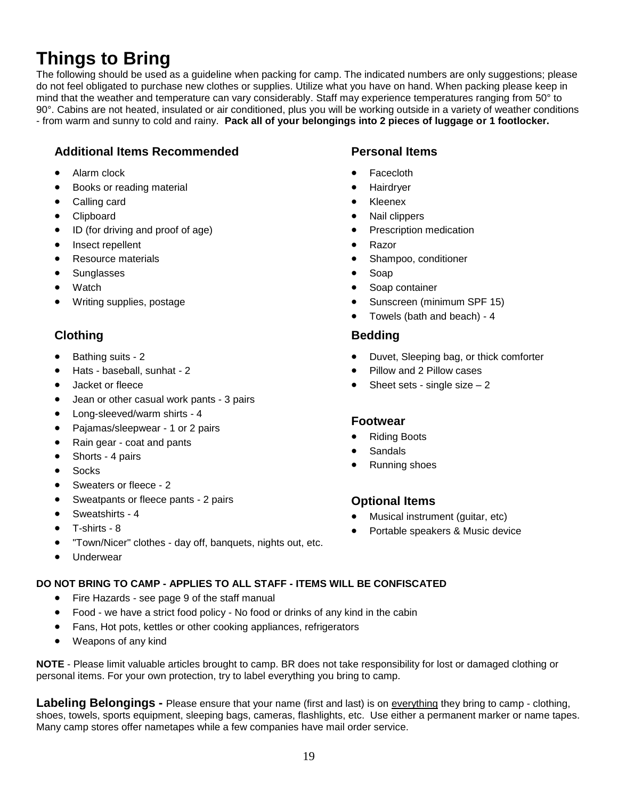# <span id="page-18-0"></span>**Things to Bring**

The following should be used as a guideline when packing for camp. The indicated numbers are only suggestions; please do not feel obligated to purchase new clothes or supplies. Utilize what you have on hand. When packing please keep in mind that the weather and temperature can vary considerably. Staff may experience temperatures ranging from 50° to 90°. Cabins are not heated, insulated or air conditioned, plus you will be working outside in a variety of weather conditions - from warm and sunny to cold and rainy. **Pack all of your belongings into 2 pieces of luggage or 1 footlocker.**

#### **Additional Items Recommended Personal Items**

- Alarm clock
- Books or reading material
- Calling card
- **Clipboard**
- ID (for driving and proof of age)
- Insect repellent
- Resource materials
- **Sunglasses**
- **Watch**
- Writing supplies, postage

#### **Clothing Bedding**

- Bathing suits 2
- Hats baseball, sunhat 2
- Jacket or fleece
- Jean or other casual work pants 3 pairs
- Long-sleeved/warm shirts 4
- Pajamas/sleepwear 1 or 2 pairs
- Rain gear coat and pants
- Shorts 4 pairs
- **Socks**
- Sweaters or fleece 2
- Sweatpants or fleece pants 2 pairs
- Sweatshirts 4
- T-shirts 8
- "Town/Nicer" clothes day off, banquets, nights out, etc.
- **Underwear**

#### **DO NOT BRING TO CAMP - APPLIES TO ALL STAFF - ITEMS WILL BE CONFISCATED**

- Fire Hazards see page 9 of the staff manual
- Food we have a strict food policy No food or drinks of any kind in the cabin
- Fans, Hot pots, kettles or other cooking appliances, refrigerators
- Weapons of any kind

**NOTE** - Please limit valuable articles brought to camp. BR does not take responsibility for lost or damaged clothing or personal items. For your own protection, try to label everything you bring to camp.

**Labeling Belongings -** Please ensure that your name (first and last) is on everything they bring to camp - clothing, shoes, towels, sports equipment, sleeping bags, cameras, flashlights, etc. Use either a permanent marker or name tapes. Many camp stores offer nametapes while a few companies have mail order service.

- **Facecloth**
- **Hairdrver**
- Kleenex
- Nail clippers
- Prescription medication
- Razor
- Shampoo, conditioner
- Soap
- Soap container
- Sunscreen (minimum SPF 15)
- Towels (bath and beach) 4

- Duvet, Sleeping bag, or thick comforter
- Pillow and 2 Pillow cases
- Sheet sets single size  $-2$

#### **Footwear**

- Riding Boots
- **Sandals**
- Running shoes

#### **Optional Items**

- Musical instrument (guitar, etc)
- Portable speakers & Music device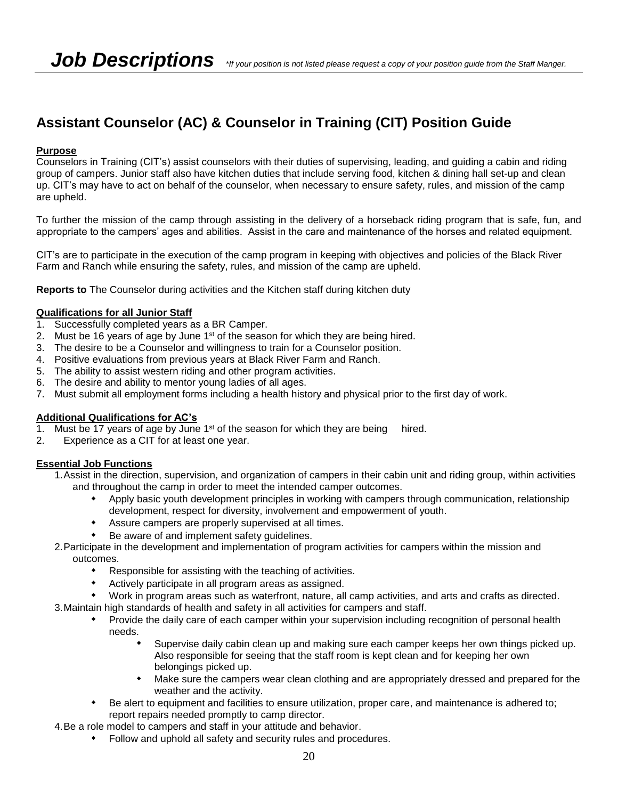# **Assistant Counselor (AC) & Counselor in Training (CIT) Position Guide**

#### **Purpose**

Counselors in Training (CIT's) assist counselors with their duties of supervising, leading, and guiding a cabin and riding group of campers. Junior staff also have kitchen duties that include serving food, kitchen & dining hall set-up and clean up. CIT's may have to act on behalf of the counselor, when necessary to ensure safety, rules, and mission of the camp are upheld.

To further the mission of the camp through assisting in the delivery of a horseback riding program that is safe, fun, and appropriate to the campers' ages and abilities. Assist in the care and maintenance of the horses and related equipment.

CIT's are to participate in the execution of the camp program in keeping with objectives and policies of the Black River Farm and Ranch while ensuring the safety, rules, and mission of the camp are upheld.

**Reports to** The Counselor during activities and the Kitchen staff during kitchen duty

#### **Qualifications for all Junior Staff**

- 1. Successfully completed years as a BR Camper.
- 2. Must be 16 years of age by June  $1<sup>st</sup>$  of the season for which they are being hired.
- 3. The desire to be a Counselor and willingness to train for a Counselor position.
- 4. Positive evaluations from previous years at Black River Farm and Ranch.
- 5. The ability to assist western riding and other program activities.
- 6. The desire and ability to mentor young ladies of all ages.
- 7. Must submit all employment forms including a health history and physical prior to the first day of work.

#### **Additional Qualifications for AC's**

- 1. Must be 17 years of age by June  $1<sup>st</sup>$  of the season for which they are being hired.
- 2. Experience as a CIT for at least one year.

#### **Essential Job Functions**

- 1.Assist in the direction, supervision, and organization of campers in their cabin unit and riding group, within activities and throughout the camp in order to meet the intended camper outcomes.
	- Apply basic youth development principles in working with campers through communication, relationship development, respect for diversity, involvement and empowerment of youth.
	- Assure campers are properly supervised at all times.
	- Be aware of and implement safety guidelines.
- 2.Participate in the development and implementation of program activities for campers within the mission and outcomes.
	- Responsible for assisting with the teaching of activities.
	- Actively participate in all program areas as assigned.
	- Work in program areas such as waterfront, nature, all camp activities, and arts and crafts as directed.
- 3.Maintain high standards of health and safety in all activities for campers and staff.
	- Provide the daily care of each camper within your supervision including recognition of personal health needs.
		- Supervise daily cabin clean up and making sure each camper keeps her own things picked up. Also responsible for seeing that the staff room is kept clean and for keeping her own belongings picked up.
		- Make sure the campers wear clean clothing and are appropriately dressed and prepared for the weather and the activity.
	- Be alert to equipment and facilities to ensure utilization, proper care, and maintenance is adhered to; report repairs needed promptly to camp director.
- 4.Be a role model to campers and staff in your attitude and behavior.
	- Follow and uphold all safety and security rules and procedures.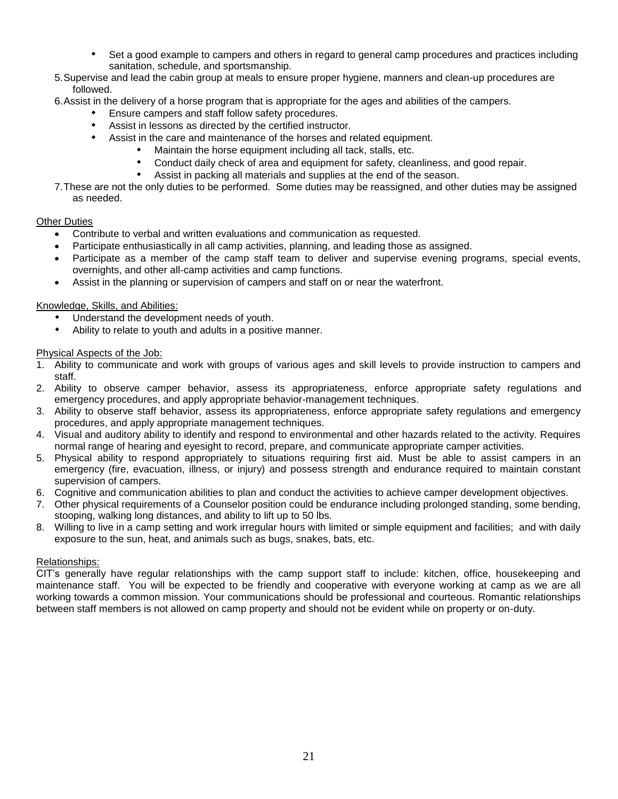- Set a good example to campers and others in regard to general camp procedures and practices including sanitation, schedule, and sportsmanship.
- 5.Supervise and lead the cabin group at meals to ensure proper hygiene, manners and clean-up procedures are followed.
- 6.Assist in the delivery of a horse program that is appropriate for the ages and abilities of the campers.
	- Ensure campers and staff follow safety procedures.
	- Assist in lessons as directed by the certified instructor.
	- Assist in the care and maintenance of the horses and related equipment.
		- Maintain the horse equipment including all tack, stalls, etc.
		- Conduct daily check of area and equipment for safety, cleanliness, and good repair.
			- Assist in packing all materials and supplies at the end of the season.
- 7.These are not the only duties to be performed. Some duties may be reassigned, and other duties may be assigned as needed.

#### Other Duties

- Contribute to verbal and written evaluations and communication as requested.
- Participate enthusiastically in all camp activities, planning, and leading those as assigned.
- Participate as a member of the camp staff team to deliver and supervise evening programs, special events, overnights, and other all-camp activities and camp functions.
- Assist in the planning or supervision of campers and staff on or near the waterfront.

#### Knowledge, Skills, and Abilities:

- Understand the development needs of youth.
- Ability to relate to youth and adults in a positive manner.

#### Physical Aspects of the Job:

- 1. Ability to communicate and work with groups of various ages and skill levels to provide instruction to campers and staff.
- 2. Ability to observe camper behavior, assess its appropriateness, enforce appropriate safety regulations and emergency procedures, and apply appropriate behavior-management techniques.
- 3. Ability to observe staff behavior, assess its appropriateness, enforce appropriate safety regulations and emergency procedures, and apply appropriate management techniques.
- 4. Visual and auditory ability to identify and respond to environmental and other hazards related to the activity. Requires normal range of hearing and eyesight to record, prepare, and communicate appropriate camper activities.
- 5. Physical ability to respond appropriately to situations requiring first aid. Must be able to assist campers in an emergency (fire, evacuation, illness, or injury) and possess strength and endurance required to maintain constant supervision of campers.
- 6. Cognitive and communication abilities to plan and conduct the activities to achieve camper development objectives.
- 7. Other physical requirements of a Counselor position could be endurance including prolonged standing, some bending, stooping, walking long distances, and ability to lift up to 50 lbs.
- 8. Willing to live in a camp setting and work irregular hours with limited or simple equipment and facilities; and with daily exposure to the sun, heat, and animals such as bugs, snakes, bats, etc.

#### Relationships:

CIT's generally have regular relationships with the camp support staff to include: kitchen, office, housekeeping and maintenance staff. You will be expected to be friendly and cooperative with everyone working at camp as we are all working towards a common mission. Your communications should be professional and courteous. Romantic relationships between staff members is not allowed on camp property and should not be evident while on property or on-duty.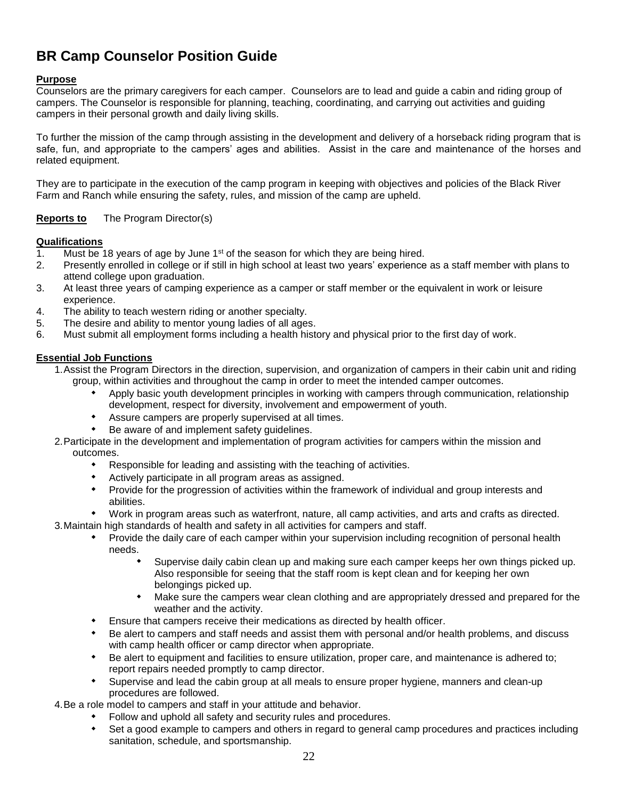# **BR Camp Counselor Position Guide**

#### **Purpose**

Counselors are the primary caregivers for each camper. Counselors are to lead and guide a cabin and riding group of campers. The Counselor is responsible for planning, teaching, coordinating, and carrying out activities and guiding campers in their personal growth and daily living skills.

To further the mission of the camp through assisting in the development and delivery of a horseback riding program that is safe, fun, and appropriate to the campers' ages and abilities. Assist in the care and maintenance of the horses and related equipment.

They are to participate in the execution of the camp program in keeping with objectives and policies of the Black River Farm and Ranch while ensuring the safety, rules, and mission of the camp are upheld.

#### **Reports to** The Program Director(s)

#### **Qualifications**

- 1. Must be 18 years of age by June  $1<sup>st</sup>$  of the season for which they are being hired.
- 2. Presently enrolled in college or if still in high school at least two years' experience as a staff member with plans to attend college upon graduation.
- 3. At least three years of camping experience as a camper or staff member or the equivalent in work or leisure experience.
- 4. The ability to teach western riding or another specialty.
- 5. The desire and ability to mentor young ladies of all ages.
- 6. Must submit all employment forms including a health history and physical prior to the first day of work.

#### **Essential Job Functions**

- 1.Assist the Program Directors in the direction, supervision, and organization of campers in their cabin unit and riding group, within activities and throughout the camp in order to meet the intended camper outcomes.
	- Apply basic youth development principles in working with campers through communication, relationship development, respect for diversity, involvement and empowerment of youth.
	- Assure campers are properly supervised at all times.
	- Be aware of and implement safety guidelines.
- 2.Participate in the development and implementation of program activities for campers within the mission and outcomes.
	- Responsible for leading and assisting with the teaching of activities.
		- Actively participate in all program areas as assigned.
		- Provide for the progression of activities within the framework of individual and group interests and abilities.
- Work in program areas such as waterfront, nature, all camp activities, and arts and crafts as directed. 3.Maintain high standards of health and safety in all activities for campers and staff.
	- Provide the daily care of each camper within your supervision including recognition of personal health needs.
		- Supervise daily cabin clean up and making sure each camper keeps her own things picked up. Also responsible for seeing that the staff room is kept clean and for keeping her own belongings picked up.
		- Make sure the campers wear clean clothing and are appropriately dressed and prepared for the weather and the activity.
	- Ensure that campers receive their medications as directed by health officer.
	- Be alert to campers and staff needs and assist them with personal and/or health problems, and discuss with camp health officer or camp director when appropriate.
	- Be alert to equipment and facilities to ensure utilization, proper care, and maintenance is adhered to; report repairs needed promptly to camp director.
	- Supervise and lead the cabin group at all meals to ensure proper hygiene, manners and clean-up procedures are followed.

4.Be a role model to campers and staff in your attitude and behavior.

- Follow and uphold all safety and security rules and procedures.
- Set a good example to campers and others in regard to general camp procedures and practices including sanitation, schedule, and sportsmanship.